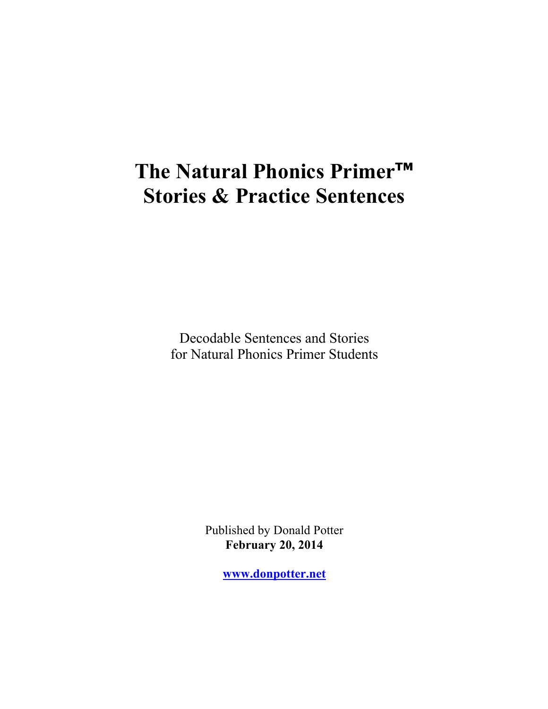# **The Natural Phonics Primer™ Stories & Practice Sentences**

Decodable Sentences and Stories for Natural Phonics Primer Students

> Published by Donald Potter **February 20, 2014**

> > **www.donpotter.net**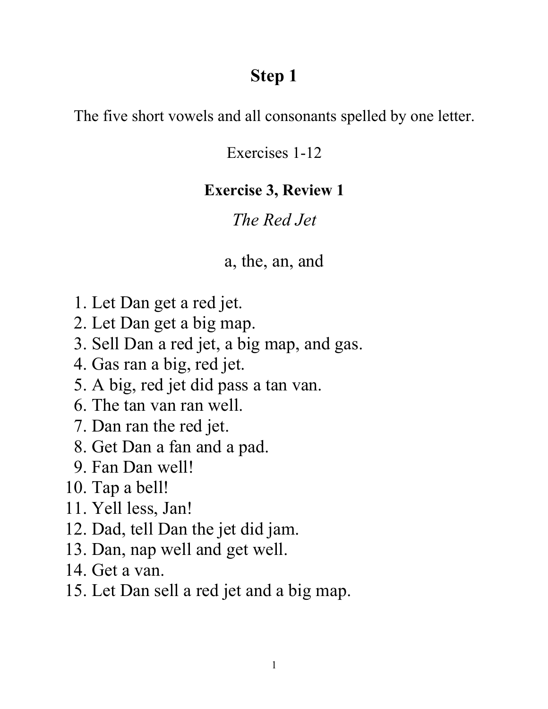## **Step 1**

The five short vowels and all consonants spelled by one letter.

Exercises 1-12

## **Exercise 3, Review 1**

## *The Red Jet*

### a, the, an, and

- 1. Let Dan get a red jet.
- 2. Let Dan get a big map.
- 3. Sell Dan a red jet, a big map, and gas.
- 4. Gas ran a big, red jet.
- 5. A big, red jet did pass a tan van.
- 6. The tan van ran well.
- 7. Dan ran the red jet.
- 8. Get Dan a fan and a pad.
- 9. Fan Dan well!
- 10. Tap a bell!
- 11. Yell less, Jan!
- 12. Dad, tell Dan the jet did jam.
- 13. Dan, nap well and get well.
- 14. Get a van.
- 15. Let Dan sell a red jet and a big map.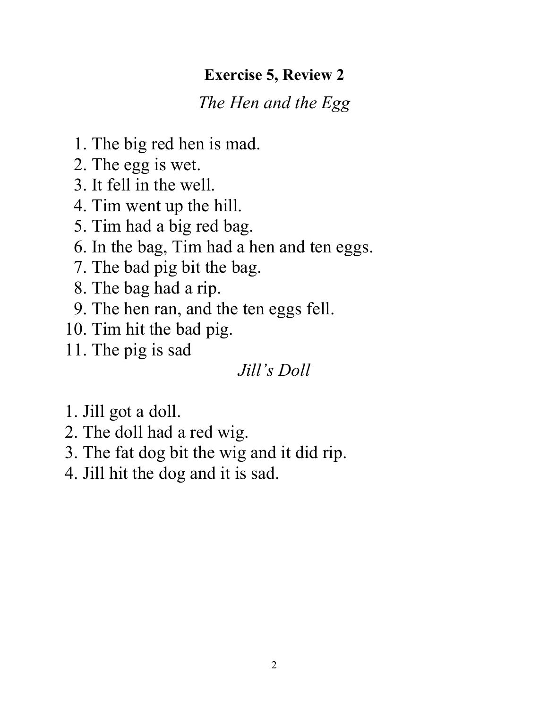### **Exercise 5, Review 2**

## *The Hen and the Egg*

- 1. The big red hen is mad.
- 2. The egg is wet.
- 3. It fell in the well.
- 4. Tim went up the hill.
- 5. Tim had a big red bag.
- 6. In the bag, Tim had a hen and ten eggs.
- 7. The bad pig bit the bag.
- 8. The bag had a rip.
- 9. The hen ran, and the ten eggs fell.
- 10. Tim hit the bad pig.
- 11. The pig is sad

## *Jill's Doll*

- 1. Jill got a doll.
- 2. The doll had a red wig.
- 3. The fat dog bit the wig and it did rip.
- 4. Jill hit the dog and it is sad.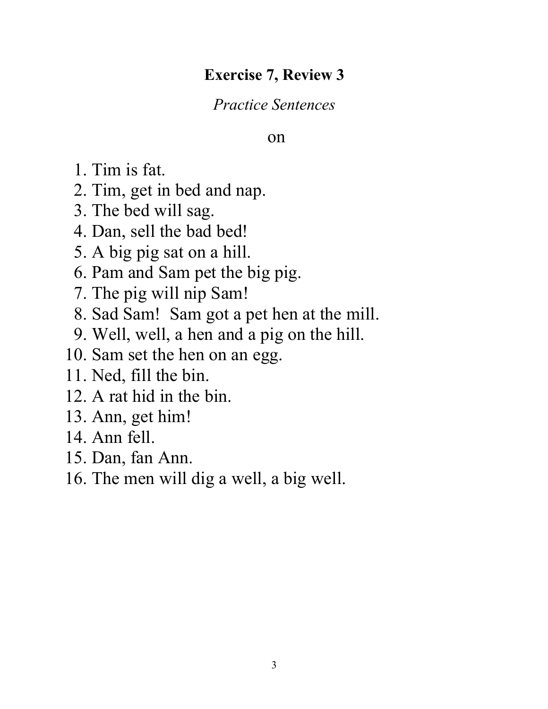### **Exercise 7, Review 3**

*Practice Sentences* 

#### on

- 1. Tim is fat.
- 2. Tim, get in bed and nap.
- 3. The bed will sag.
- 4. Dan, sell the bad bed!
- 5. A big pig sat on a hill.
- 6. Pam and Sam pet the big pig.
- 7. The pig will nip Sam!
- 8. Sad Sam! Sam got a pet hen at the mill.
- 9. Well, well, a hen and a pig on the hill.
- 10. Sam set the hen on an egg.
- 11. Ned, fill the bin.
- 12. A rat hid in the bin.
- 13. Ann, get him!
- 14. Ann fell.
- 15. Dan, fan Ann.
- 16. The men will dig a well, a big well.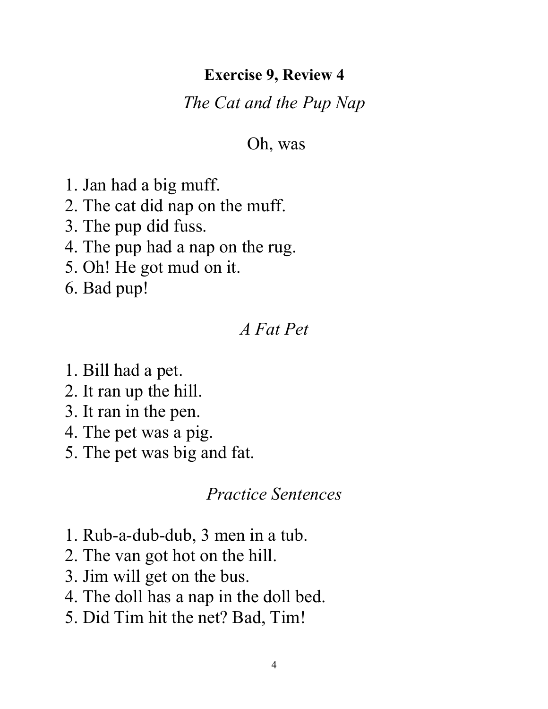#### **Exercise 9, Review 4**

#### *The Cat and the Pup Nap*

#### Oh, was

- 1. Jan had a big muff.
- 2. The cat did nap on the muff.
- 3. The pup did fuss.
- 4. The pup had a nap on the rug.
- 5. Oh! He got mud on it.
- 6. Bad pup!

### *A Fat Pet*

- 1. Bill had a pet.
- 2. It ran up the hill.
- 3. It ran in the pen.
- 4. The pet was a pig.
- 5. The pet was big and fat.

- 1. Rub-a-dub-dub, 3 men in a tub.
- 2. The van got hot on the hill.
- 3. Jim will get on the bus.
- 4. The doll has a nap in the doll bed.
- 5. Did Tim hit the net? Bad, Tim!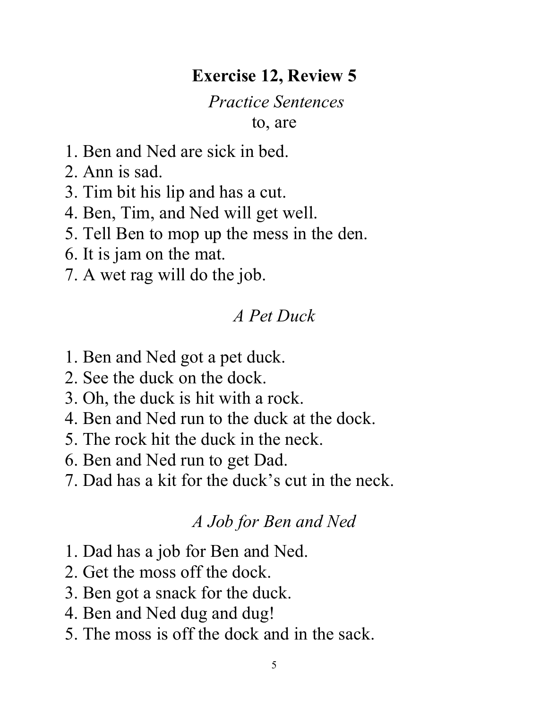## **Exercise 12, Review 5**

# *Practice Sentences*

to, are

- 1. Ben and Ned are sick in bed.
- 2. Ann is sad.
- 3. Tim bit his lip and has a cut.
- 4. Ben, Tim, and Ned will get well.
- 5. Tell Ben to mop up the mess in the den.
- 6. It is jam on the mat.
- 7. A wet rag will do the job.

### *A Pet Duck*

- 1. Ben and Ned got a pet duck.
- 2. See the duck on the dock.
- 3. Oh, the duck is hit with a rock.
- 4. Ben and Ned run to the duck at the dock.
- 5. The rock hit the duck in the neck.
- 6. Ben and Ned run to get Dad.
- 7. Dad has a kit for the duck's cut in the neck.

#### *A Job for Ben and Ned*

- 1. Dad has a job for Ben and Ned.
- 2. Get the moss off the dock.
- 3. Ben got a snack for the duck.
- 4. Ben and Ned dug and dug!
- 5. The moss is off the dock and in the sack.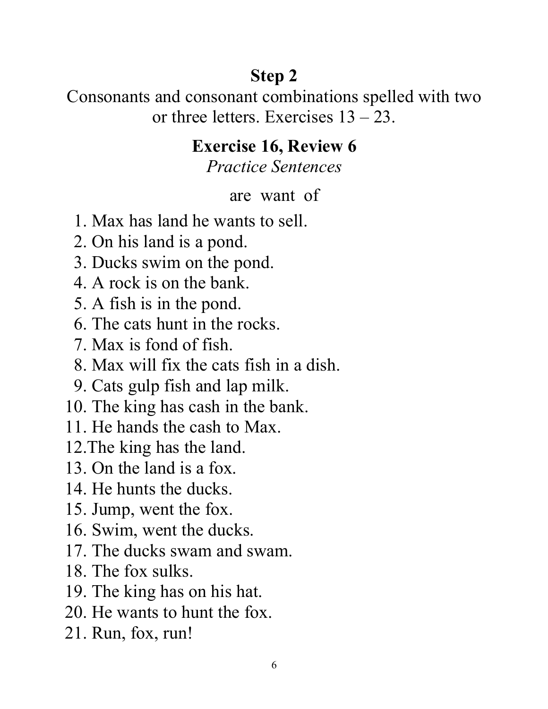# **Step 2**

Consonants and consonant combinations spelled with two or three letters. Exercises  $13 - 23$ .

## **Exercise 16, Review 6**

*Practice Sentences*

#### are want of

- 1. Max has land he wants to sell.
- 2. On his land is a pond.
- 3. Ducks swim on the pond.
- 4. A rock is on the bank.
- 5. A fish is in the pond.
- 6. The cats hunt in the rocks.
- 7. Max is fond of fish.
- 8. Max will fix the cats fish in a dish.
- 9. Cats gulp fish and lap milk.
- 10. The king has cash in the bank.
- 11. He hands the cash to Max.
- 12.The king has the land.
- 13. On the land is a fox.
- 14. He hunts the ducks.
- 15. Jump, went the fox.
- 16. Swim, went the ducks.
- 17. The ducks swam and swam.
- 18. The fox sulks.
- 19. The king has on his hat.
- 20. He wants to hunt the fox.
- 21. Run, fox, run!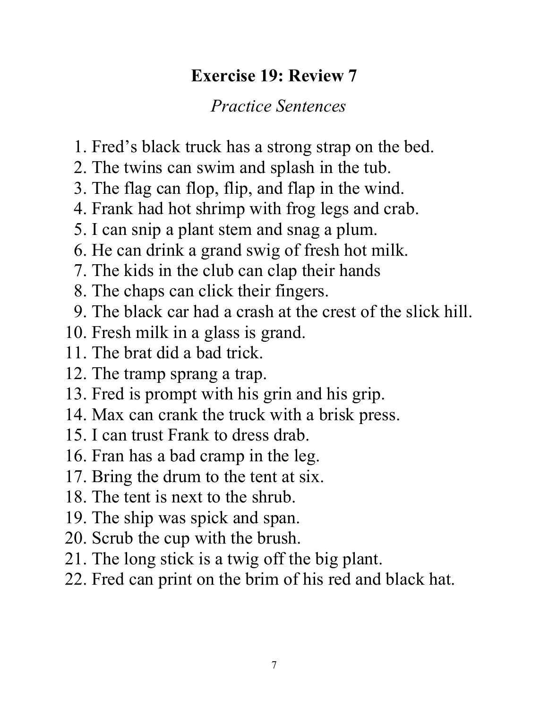## **Exercise 19: Review 7**

- 1. Fred's black truck has a strong strap on the bed.
- 2. The twins can swim and splash in the tub.
- 3. The flag can flop, flip, and flap in the wind.
- 4. Frank had hot shrimp with frog legs and crab.
- 5. I can snip a plant stem and snag a plum.
- 6. He can drink a grand swig of fresh hot milk.
- 7. The kids in the club can clap their hands
- 8. The chaps can click their fingers.
- 9. The black car had a crash at the crest of the slick hill.
- 10. Fresh milk in a glass is grand.
- 11. The brat did a bad trick.
- 12. The tramp sprang a trap.
- 13. Fred is prompt with his grin and his grip.
- 14. Max can crank the truck with a brisk press.
- 15. I can trust Frank to dress drab.
- 16. Fran has a bad cramp in the leg.
- 17. Bring the drum to the tent at six.
- 18. The tent is next to the shrub.
- 19. The ship was spick and span.
- 20. Scrub the cup with the brush.
- 21. The long stick is a twig off the big plant.
- 22. Fred can print on the brim of his red and black hat.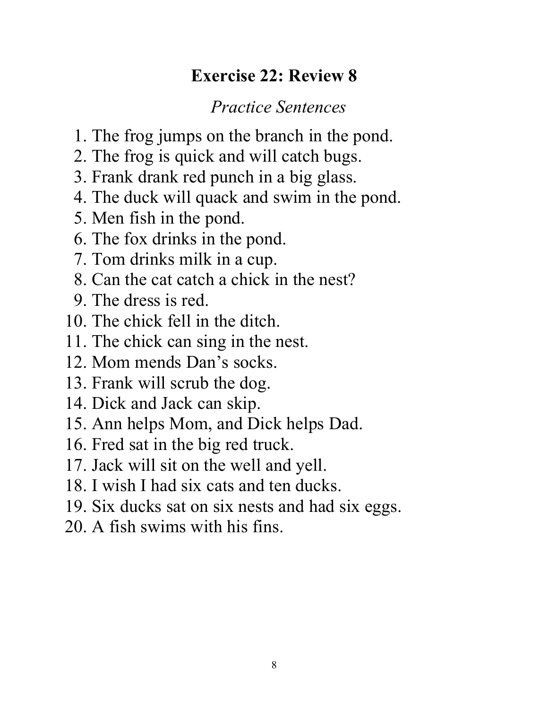## **Exercise 22: Review 8**

- 1. The frog jumps on the branch in the pond.
- 2. The frog is quick and will catch bugs.
- 3. Frank drank red punch in a big glass.
- 4. The duck will quack and swim in the pond.
- 5. Men fish in the pond.
- 6. The fox drinks in the pond.
- 7. Tom drinks milk in a cup.
- 8. Can the cat catch a chick in the nest?
- 9. The dress is red.
- 10. The chick fell in the ditch.
- 11. The chick can sing in the nest.
- 12. Mom mends Dan's socks.
- 13. Frank will scrub the dog.
- 14. Dick and Jack can skip.
- 15. Ann helps Mom, and Dick helps Dad.
- 16. Fred sat in the big red truck.
- 17. Jack will sit on the well and yell.
- 18. I wish I had six cats and ten ducks.
- 19. Six ducks sat on six nests and had six eggs.
- 20. A fish swims with his fins.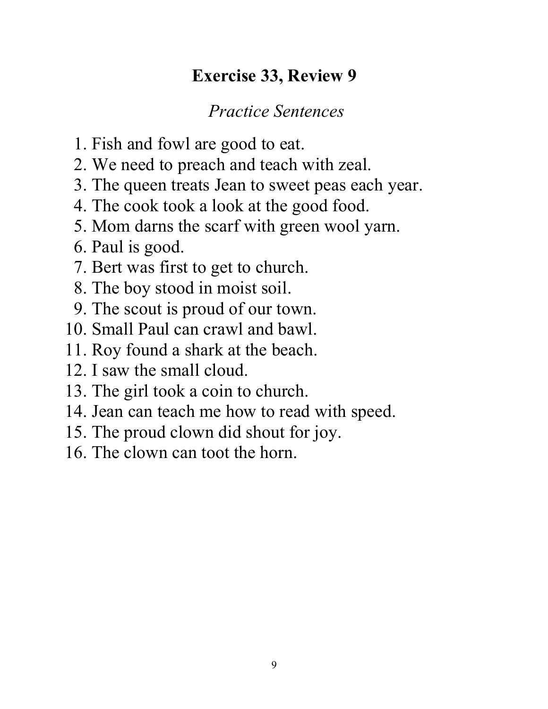## **Exercise 33, Review 9**

- 1. Fish and fowl are good to eat.
- 2. We need to preach and teach with zeal.
- 3. The queen treats Jean to sweet peas each year.
- 4. The cook took a look at the good food.
- 5. Mom darns the scarf with green wool yarn.
- 6. Paul is good.
- 7. Bert was first to get to church.
- 8. The boy stood in moist soil.
- 9. The scout is proud of our town.
- 10. Small Paul can crawl and bawl.
- 11. Roy found a shark at the beach.
- 12. I saw the small cloud.
- 13. The girl took a coin to church.
- 14. Jean can teach me how to read with speed.
- 15. The proud clown did shout for joy.
- 16. The clown can toot the horn.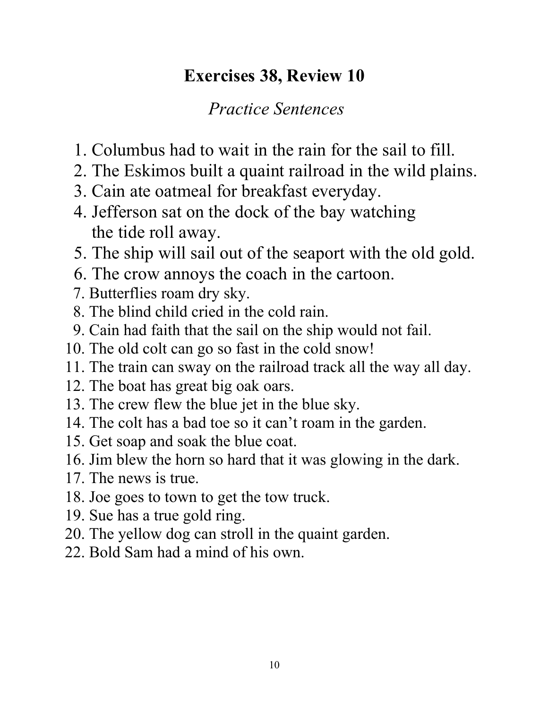## **Exercises 38, Review 10**

- 1. Columbus had to wait in the rain for the sail to fill.
- 2. The Eskimos built a quaint railroad in the wild plains.
- 3. Cain ate oatmeal for breakfast everyday.
- 4. Jefferson sat on the dock of the bay watching the tide roll away.
- 5. The ship will sail out of the seaport with the old gold.
- 6. The crow annoys the coach in the cartoon.
- 7. Butterflies roam dry sky.
- 8. The blind child cried in the cold rain.
- 9. Cain had faith that the sail on the ship would not fail.
- 10. The old colt can go so fast in the cold snow!
- 11. The train can sway on the railroad track all the way all day.
- 12. The boat has great big oak oars.
- 13. The crew flew the blue jet in the blue sky.
- 14. The colt has a bad toe so it can't roam in the garden.
- 15. Get soap and soak the blue coat.
- 16. Jim blew the horn so hard that it was glowing in the dark.
- 17. The news is true.
- 18. Joe goes to town to get the tow truck.
- 19. Sue has a true gold ring.
- 20. The yellow dog can stroll in the quaint garden.
- 22. Bold Sam had a mind of his own.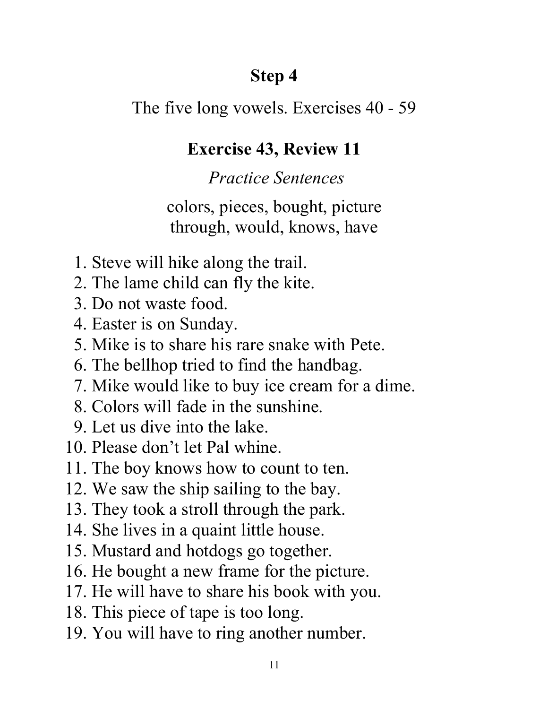## **Step 4**

The five long vowels. Exercises 40 - 59

### **Exercise 43, Review 11**

### *Practice Sentences*

colors, pieces, bought, picture through, would, knows, have

- 1. Steve will hike along the trail.
- 2. The lame child can fly the kite.
- 3. Do not waste food.
- 4. Easter is on Sunday.
- 5. Mike is to share his rare snake with Pete.
- 6. The bellhop tried to find the handbag.
- 7. Mike would like to buy ice cream for a dime.
- 8. Colors will fade in the sunshine.
- 9. Let us dive into the lake.
- 10. Please don't let Pal whine.
- 11. The boy knows how to count to ten.
- 12. We saw the ship sailing to the bay.
- 13. They took a stroll through the park.
- 14. She lives in a quaint little house.
- 15. Mustard and hotdogs go together.
- 16. He bought a new frame for the picture.
- 17. He will have to share his book with you.
- 18. This piece of tape is too long.
- 19. You will have to ring another number.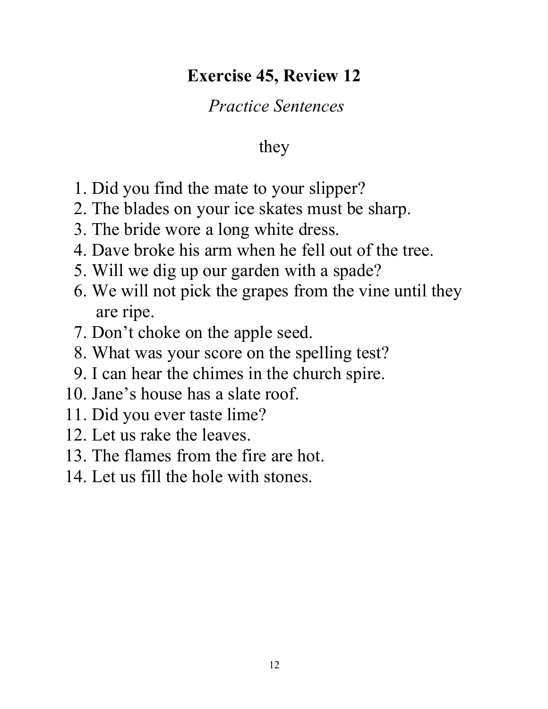## **Exercise 45, Review 12**

## *Practice Sentences*

## they

- 1. Did you find the mate to your slipper?
- 2. The blades on your ice skates must be sharp.
- 3. The bride wore a long white dress.
- 4. Dave broke his arm when he fell out of the tree.
- 5. Will we dig up our garden with a spade?
- 6. We will not pick the grapes from the vine until they are ripe.
- 7. Don't choke on the apple seed.
- 8. What was your score on the spelling test?
- 9. I can hear the chimes in the church spire.
- 10. Jane's house has a slate roof.
- 11. Did you ever taste lime?
- 12. Let us rake the leaves.
- 13. The flames from the fire are hot.
- 14. Let us fill the hole with stones.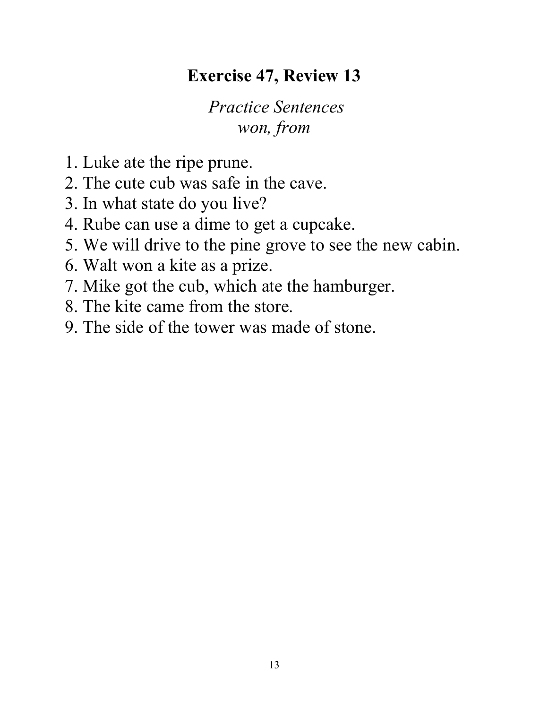## **Exercise 47, Review 13**

*Practice Sentences won, from*

- 1. Luke ate the ripe prune.
- 2. The cute cub was safe in the cave.
- 3. In what state do you live?
- 4. Rube can use a dime to get a cupcake.
- 5. We will drive to the pine grove to see the new cabin.
- 6. Walt won a kite as a prize.
- 7. Mike got the cub, which ate the hamburger.
- 8. The kite came from the store.
- 9. The side of the tower was made of stone.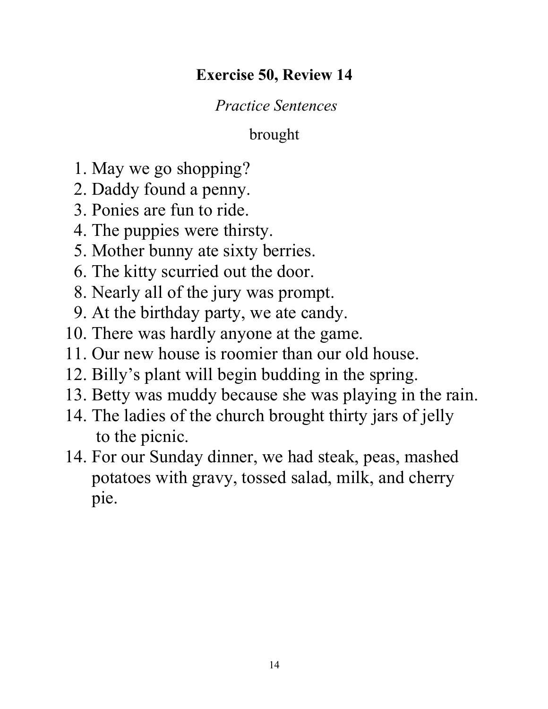#### **Exercise 50, Review 14**

#### *Practice Sentences*

#### brought

- 1. May we go shopping?
- 2. Daddy found a penny.
- 3. Ponies are fun to ride.
- 4. The puppies were thirsty.
- 5. Mother bunny ate sixty berries.
- 6. The kitty scurried out the door.
- 8. Nearly all of the jury was prompt.
- 9. At the birthday party, we ate candy.
- 10. There was hardly anyone at the game.
- 11. Our new house is roomier than our old house.
- 12. Billy's plant will begin budding in the spring.
- 13. Betty was muddy because she was playing in the rain.
- 14. The ladies of the church brought thirty jars of jelly to the picnic.
- 14. For our Sunday dinner, we had steak, peas, mashed potatoes with gravy, tossed salad, milk, and cherry pie.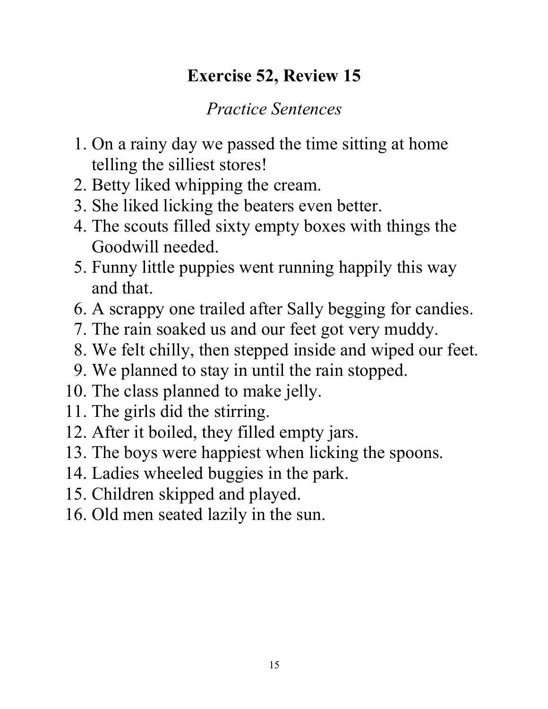## **Exercise 52, Review 15**

- 1. On a rainy day we passed the time sitting at home telling the silliest stores!
- 2. Betty liked whipping the cream.
- 3. She liked licking the beaters even better.
- 4. The scouts filled sixty empty boxes with things the Goodwill needed.
- 5. Funny little puppies went running happily this way and that.
- 6. A scrappy one trailed after Sally begging for candies.
- 7. The rain soaked us and our feet got very muddy.
- 8. We felt chilly, then stepped inside and wiped our feet.
- 9. We planned to stay in until the rain stopped.
- 10. The class planned to make jelly.
- 11. The girls did the stirring.
- 12. After it boiled, they filled empty jars.
- 13. The boys were happiest when licking the spoons.
- 14. Ladies wheeled buggies in the park.
- 15. Children skipped and played.
- 16. Old men seated lazily in the sun.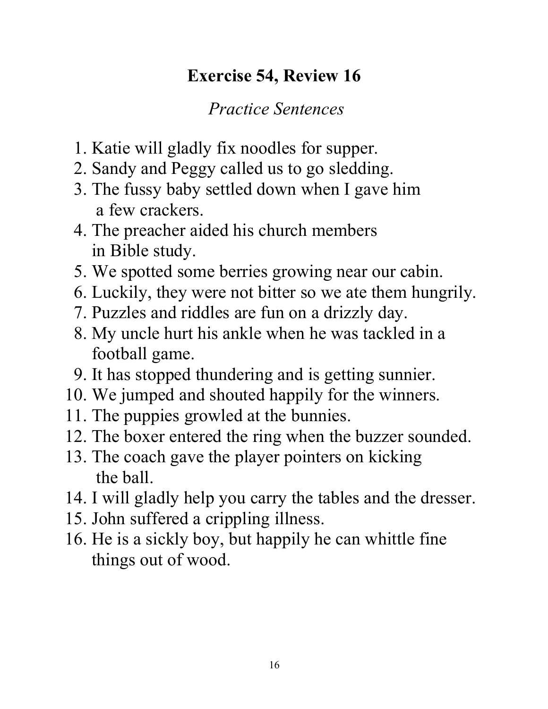## **Exercise 54, Review 16**

- 1. Katie will gladly fix noodles for supper.
- 2. Sandy and Peggy called us to go sledding.
- 3. The fussy baby settled down when I gave him a few crackers.
- 4. The preacher aided his church members in Bible study.
- 5. We spotted some berries growing near our cabin.
- 6. Luckily, they were not bitter so we ate them hungrily.
- 7. Puzzles and riddles are fun on a drizzly day.
- 8. My uncle hurt his ankle when he was tackled in a football game.
- 9. It has stopped thundering and is getting sunnier.
- 10. We jumped and shouted happily for the winners.
- 11. The puppies growled at the bunnies.
- 12. The boxer entered the ring when the buzzer sounded.
- 13. The coach gave the player pointers on kicking the ball.
- 14. I will gladly help you carry the tables and the dresser.
- 15. John suffered a crippling illness.
- 16. He is a sickly boy, but happily he can whittle fine things out of wood.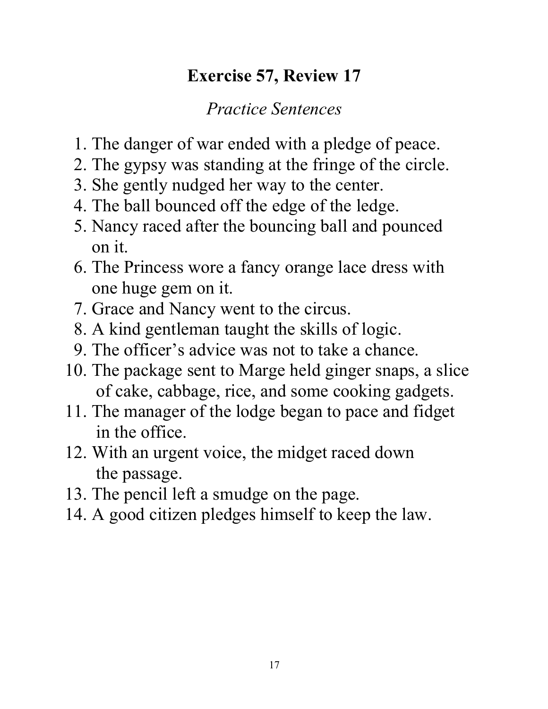## **Exercise 57, Review 17**

- 1. The danger of war ended with a pledge of peace.
- 2. The gypsy was standing at the fringe of the circle.
- 3. She gently nudged her way to the center.
- 4. The ball bounced off the edge of the ledge.
- 5. Nancy raced after the bouncing ball and pounced on it.
- 6. The Princess wore a fancy orange lace dress with one huge gem on it.
- 7. Grace and Nancy went to the circus.
- 8. A kind gentleman taught the skills of logic.
- 9. The officer's advice was not to take a chance.
- 10. The package sent to Marge held ginger snaps, a slice of cake, cabbage, rice, and some cooking gadgets.
- 11. The manager of the lodge began to pace and fidget in the office.
- 12. With an urgent voice, the midget raced down the passage.
- 13. The pencil left a smudge on the page.
- 14. A good citizen pledges himself to keep the law.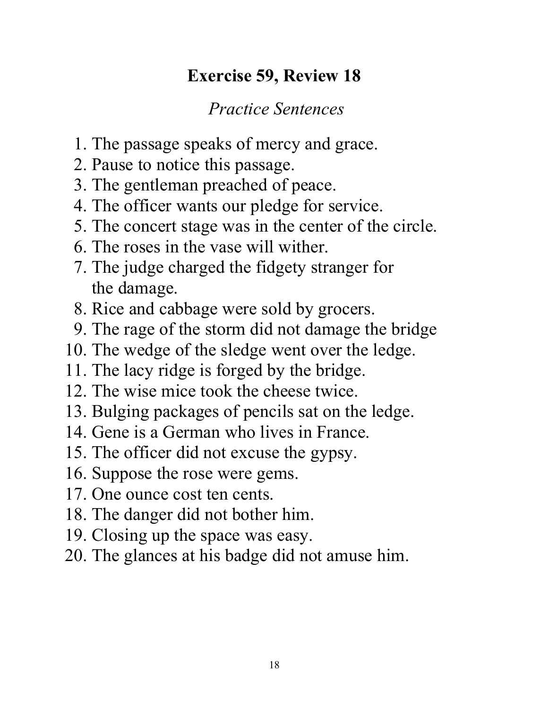## **Exercise 59, Review 18**

- 1. The passage speaks of mercy and grace.
- 2. Pause to notice this passage.
- 3. The gentleman preached of peace.
- 4. The officer wants our pledge for service.
- 5. The concert stage was in the center of the circle.
- 6. The roses in the vase will wither.
- 7. The judge charged the fidgety stranger for the damage.
- 8. Rice and cabbage were sold by grocers.
- 9. The rage of the storm did not damage the bridge
- 10. The wedge of the sledge went over the ledge.
- 11. The lacy ridge is forged by the bridge.
- 12. The wise mice took the cheese twice.
- 13. Bulging packages of pencils sat on the ledge.
- 14. Gene is a German who lives in France.
- 15. The officer did not excuse the gypsy.
- 16. Suppose the rose were gems.
- 17. One ounce cost ten cents.
- 18. The danger did not bother him.
- 19. Closing up the space was easy.
- 20. The glances at his badge did not amuse him.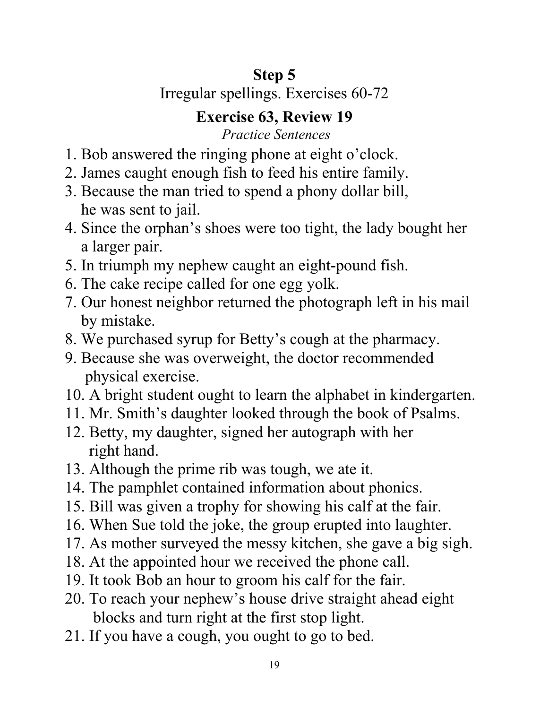## **Step 5**

## Irregular spellings. Exercises 60-72

## **Exercise 63, Review 19**

- 1. Bob answered the ringing phone at eight o'clock.
- 2. James caught enough fish to feed his entire family.
- 3. Because the man tried to spend a phony dollar bill, he was sent to jail.
- 4. Since the orphan's shoes were too tight, the lady bought her a larger pair.
- 5. In triumph my nephew caught an eight-pound fish.
- 6. The cake recipe called for one egg yolk.
- 7. Our honest neighbor returned the photograph left in his mail by mistake.
- 8. We purchased syrup for Betty's cough at the pharmacy.
- 9. Because she was overweight, the doctor recommended physical exercise.
- 10. A bright student ought to learn the alphabet in kindergarten.
- 11. Mr. Smith's daughter looked through the book of Psalms.
- 12. Betty, my daughter, signed her autograph with her right hand.
- 13. Although the prime rib was tough, we ate it.
- 14. The pamphlet contained information about phonics.
- 15. Bill was given a trophy for showing his calf at the fair.
- 16. When Sue told the joke, the group erupted into laughter.
- 17. As mother surveyed the messy kitchen, she gave a big sigh.
- 18. At the appointed hour we received the phone call.
- 19. It took Bob an hour to groom his calf for the fair.
- 20. To reach your nephew's house drive straight ahead eight blocks and turn right at the first stop light.
- 21. If you have a cough, you ought to go to bed.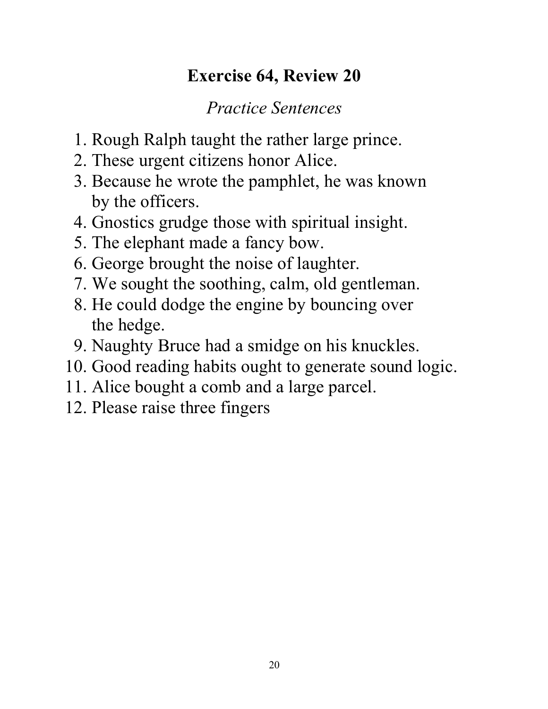## **Exercise 64, Review 20**

- 1. Rough Ralph taught the rather large prince.
- 2. These urgent citizens honor Alice.
- 3. Because he wrote the pamphlet, he was known by the officers.
- 4. Gnostics grudge those with spiritual insight.
- 5. The elephant made a fancy bow.
- 6. George brought the noise of laughter.
- 7. We sought the soothing, calm, old gentleman.
- 8. He could dodge the engine by bouncing over the hedge.
- 9. Naughty Bruce had a smidge on his knuckles.
- 10. Good reading habits ought to generate sound logic.
- 11. Alice bought a comb and a large parcel.
- 12. Please raise three fingers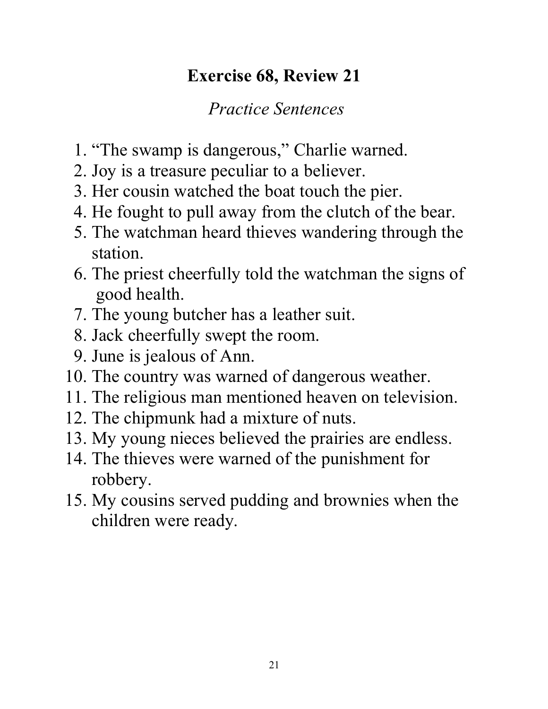## **Exercise 68, Review 21**

- 1. "The swamp is dangerous," Charlie warned.
- 2. Joy is a treasure peculiar to a believer.
- 3. Her cousin watched the boat touch the pier.
- 4. He fought to pull away from the clutch of the bear.
- 5. The watchman heard thieves wandering through the station.
- 6. The priest cheerfully told the watchman the signs of good health.
- 7. The young butcher has a leather suit.
- 8. Jack cheerfully swept the room.
- 9. June is jealous of Ann.
- 10. The country was warned of dangerous weather.
- 11. The religious man mentioned heaven on television.
- 12. The chipmunk had a mixture of nuts.
- 13. My young nieces believed the prairies are endless.
- 14. The thieves were warned of the punishment for robbery.
- 15. My cousins served pudding and brownies when the children were ready.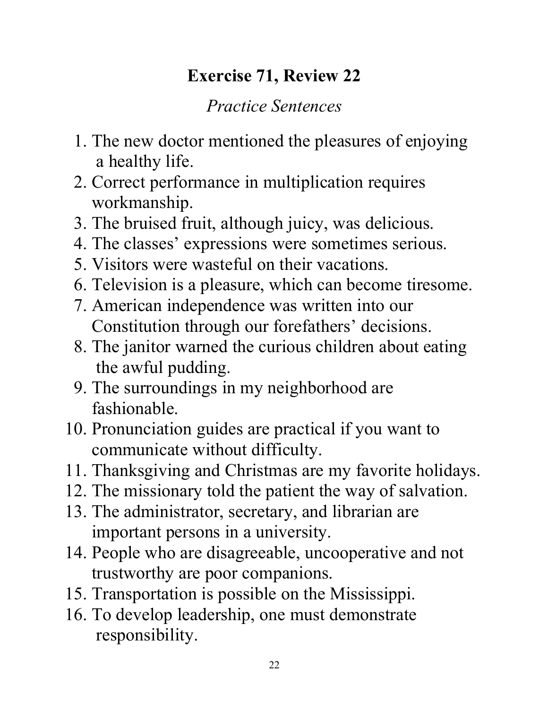## **Exercise 71, Review 22**

- 1. The new doctor mentioned the pleasures of enjoying a healthy life.
- 2. Correct performance in multiplication requires workmanship.
- 3. The bruised fruit, although juicy, was delicious.
- 4. The classes' expressions were sometimes serious.
- 5. Visitors were wasteful on their vacations.
- 6. Television is a pleasure, which can become tiresome.
- 7. American independence was written into our Constitution through our forefathers' decisions.
- 8. The janitor warned the curious children about eating the awful pudding.
- 9. The surroundings in my neighborhood are fashionable.
- 10. Pronunciation guides are practical if you want to communicate without difficulty.
- 11. Thanksgiving and Christmas are my favorite holidays.
- 12. The missionary told the patient the way of salvation.
- 13. The administrator, secretary, and librarian are important persons in a university.
- 14. People who are disagreeable, uncooperative and not trustworthy are poor companions.
- 15. Transportation is possible on the Mississippi.
- 16. To develop leadership, one must demonstrate responsibility.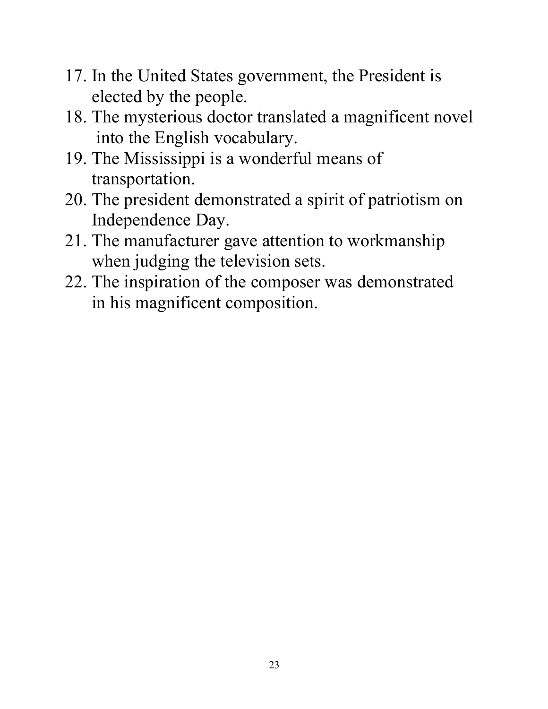- 17. In the United States government, the President is elected by the people.
- 18. The mysterious doctor translated a magnificent novel into the English vocabulary.
- 19. The Mississippi is a wonderful means of transportation.
- 20. The president demonstrated a spirit of patriotism on Independence Day.
- 21. The manufacturer gave attention to workmanship when judging the television sets.
- 22. The inspiration of the composer was demonstrated in his magnificent composition.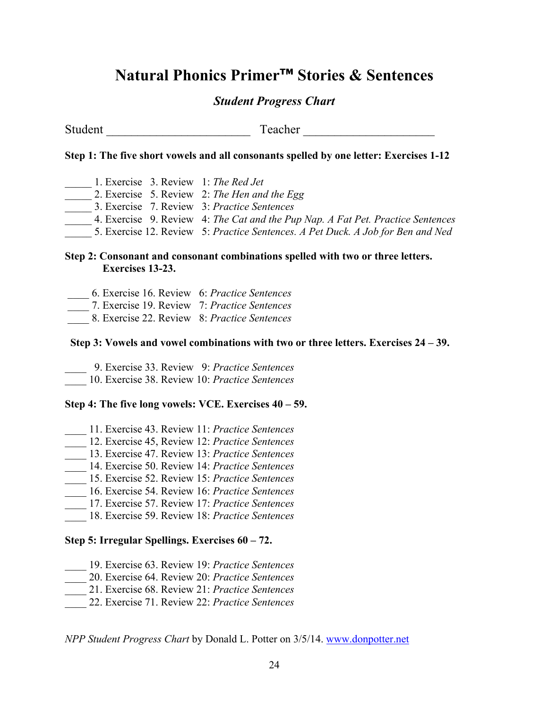#### **Natural Phonics Primer™ Stories & Sentences**

#### *Student Progress Chart*

Student Teacher Teacher Teacher  $\sim$ 

#### **Step 1: The five short vowels and all consonants spelled by one letter: Exercises 1-12**

\_\_\_\_\_ 1. Exercise 3. Review 1: *The Red Jet*  \_\_\_\_\_ 2. Exercise 5. Review 2: *The Hen and the Egg* \_\_\_\_\_ 3. Exercise 7. Review 3: *Practice Sentences*  \_\_\_\_\_ 4. Exercise 9. Review 4: *The Cat and the Pup Nap. A Fat Pet. Practice Sentences* \_\_\_\_\_ 5. Exercise 12. Review 5: *Practice Sentences. A Pet Duck. A Job for Ben and Ned*

#### **Step 2: Consonant and consonant combinations spelled with two or three letters. Exercises 13-23.**

- \_\_\_\_ 6. Exercise 16. Review 6: *Practice Sentences*
- \_\_\_\_ 7. Exercise 19. Review 7: *Practice Sentences*
- \_\_\_\_ 8. Exercise 22. Review 8: *Practice Sentences*

#### **Step 3: Vowels and vowel combinations with two or three letters. Exercises 24 – 39.**

- \_\_\_\_ 9. Exercise 33. Review 9: *Practice Sentences*
- \_\_\_\_ 10. Exercise 38. Review 10: *Practice Sentences*

#### **Step 4: The five long vowels: VCE. Exercises 40 – 59.**

- \_\_\_\_ 11. Exercise 43. Review 11: *Practice Sentences*
- \_\_\_\_ 12. Exercise 45, Review 12: *Practice Sentences*
- \_\_\_\_ 13. Exercise 47. Review 13: *Practice Sentences*
- \_\_\_\_ 14. Exercise 50. Review 14: *Practice Sentences*
- \_\_\_\_ 15. Exercise 52. Review 15: *Practice Sentences*
- \_\_\_\_ 16. Exercise 54. Review 16: *Practice Sentences*
- \_\_\_\_ 17. Exercise 57. Review 17: *Practice Sentences*
- \_\_\_\_ 18. Exercise 59. Review 18: *Practice Sentences*

#### **Step 5: Irregular Spellings. Exercises 60 – 72.**

- \_\_\_\_ 19. Exercise 63. Review 19: *Practice Sentences*
- \_\_\_\_ 20. Exercise 64. Review 20: *Practice Sentences*
- \_\_\_\_ 21. Exercise 68. Review 21: *Practice Sentences*
- \_\_\_\_ 22. Exercise 71. Review 22: *Practice Sentences*

*NPP Student Progress Chart* by Donald L. Potter on 3/5/14. www.donpotter.net